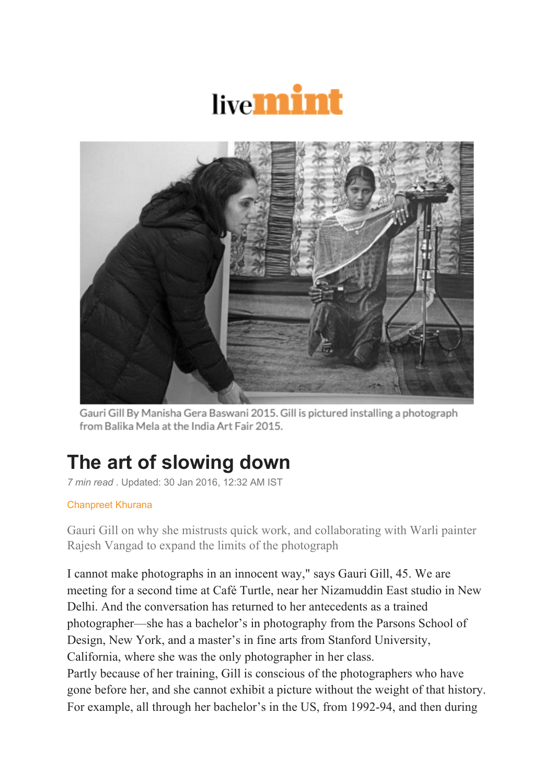



Gauri Gill By Manisha Gera Baswani 2015. Gill is pictured installing a photograph from Balika Mela at the India Art Fair 2015.

## **The art of slowing down**

*7 min read .* Updated: 30 Jan 2016, 12:32 AM IST

## Chanpreet Khurana

Gauri Gill on why she mistrusts quick work, and collaborating with Warli painter Rajesh Vangad to expand the limits of the photograph

I cannot make photographs in an innocent way," says Gauri Gill, 45. We are meeting for a second time at Café Turtle, near her Nizamuddin East studio in New Delhi. And the conversation has returned to her antecedents as a trained photographer—she has a bachelor's in photography from the Parsons School of Design, New York, and a master's in fine arts from Stanford University, California, where she was the only photographer in her class. Partly because of her training, Gill is conscious of the photographers who have gone before her, and she cannot exhibit a picture without the weight of that history. For example, all through her bachelor's in the US, from 1992-94, and then during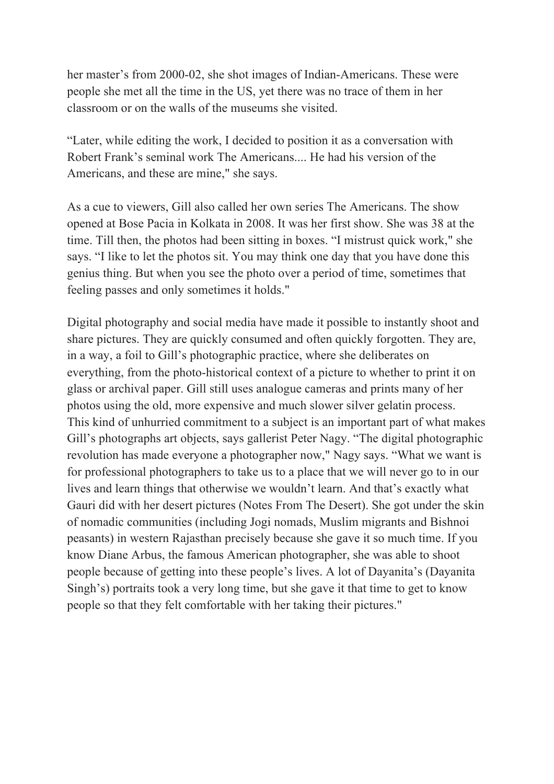her master's from 2000-02, she shot images of Indian-Americans. These were people she met all the time in the US, yet there was no trace of them in her classroom or on the walls of the museums she visited.

"Later, while editing the work, I decided to position it as a conversation with Robert Frank's seminal work The Americans.... He had his version of the Americans, and these are mine," she says.

As a cue to viewers, Gill also called her own series The Americans. The show opened at Bose Pacia in Kolkata in 2008. It was her first show. She was 38 at the time. Till then, the photos had been sitting in boxes. "I mistrust quick work," she says. "I like to let the photos sit. You may think one day that you have done this genius thing. But when you see the photo over a period of time, sometimes that feeling passes and only sometimes it holds."

Digital photography and social media have made it possible to instantly shoot and share pictures. They are quickly consumed and often quickly forgotten. They are, in a way, a foil to Gill's photographic practice, where she deliberates on everything, from the photo-historical context of a picture to whether to print it on glass or archival paper. Gill still uses analogue cameras and prints many of her photos using the old, more expensive and much slower silver gelatin process. This kind of unhurried commitment to a subject is an important part of what makes Gill's photographs art objects, says gallerist Peter Nagy. "The digital photographic revolution has made everyone a photographer now," Nagy says. "What we want is for professional photographers to take us to a place that we will never go to in our lives and learn things that otherwise we wouldn't learn. And that's exactly what Gauri did with her desert pictures (Notes From The Desert). She got under the skin of nomadic communities (including Jogi nomads, Muslim migrants and Bishnoi peasants) in western Rajasthan precisely because she gave it so much time. If you know Diane Arbus, the famous American photographer, she was able to shoot people because of getting into these people's lives. A lot of Dayanita's (Dayanita Singh's) portraits took a very long time, but she gave it that time to get to know people so that they felt comfortable with her taking their pictures."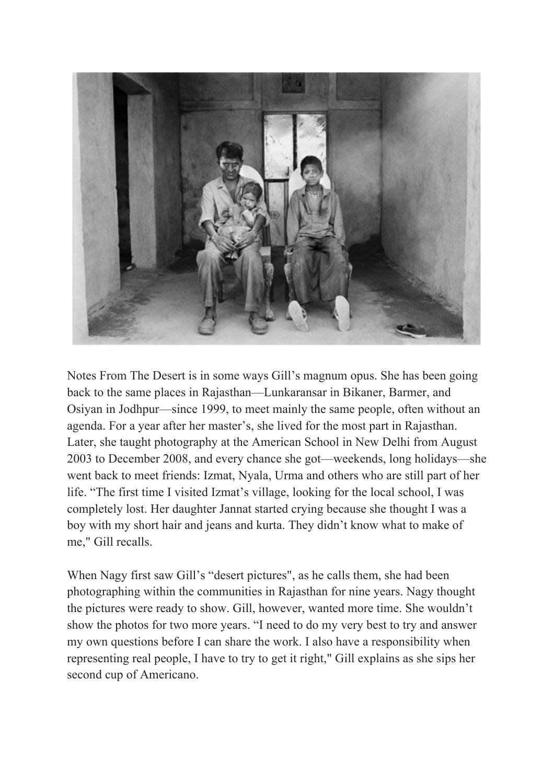

Notes From The Desert is in some ways Gill's magnum opus. She has been going back to the same places in Rajasthan—Lunkaransar in Bikaner, Barmer, and Osiyan in Jodhpur—since 1999, to meet mainly the same people, often without an agenda. For a year after her master's, she lived for the most part in Rajasthan. Later, she taught photography at the American School in New Delhi from August 2003 to December 2008, and every chance she got—weekends, long holidays—she went back to meet friends: Izmat, Nyala, Urma and others who are still part of her life. "The first time I visited Izmat's village, looking for the local school, I was completely lost. Her daughter Jannat started crying because she thought I was a boy with my short hair and jeans and kurta. They didn't know what to make of me," Gill recalls.

When Nagy first saw Gill's "desert pictures", as he calls them, she had been photographing within the communities in Rajasthan for nine years. Nagy thought the pictures were ready to show. Gill, however, wanted more time. She wouldn't show the photos for two more years. "I need to do my very best to try and answer my own questions before I can share the work. I also have a responsibility when representing real people, I have to try to get it right," Gill explains as she sips her second cup of Americano.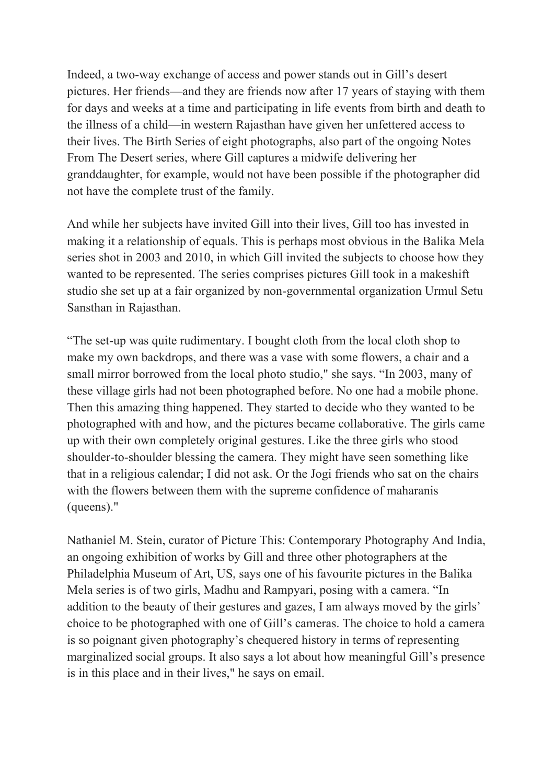Indeed, a two-way exchange of access and power stands out in Gill's desert pictures. Her friends—and they are friends now after 17 years of staying with them for days and weeks at a time and participating in life events from birth and death to the illness of a child—in western Rajasthan have given her unfettered access to their lives. The Birth Series of eight photographs, also part of the ongoing Notes From The Desert series, where Gill captures a midwife delivering her granddaughter, for example, would not have been possible if the photographer did not have the complete trust of the family.

And while her subjects have invited Gill into their lives, Gill too has invested in making it a relationship of equals. This is perhaps most obvious in the Balika Mela series shot in 2003 and 2010, in which Gill invited the subjects to choose how they wanted to be represented. The series comprises pictures Gill took in a makeshift studio she set up at a fair organized by non-governmental organization Urmul Setu Sansthan in Rajasthan.

"The set-up was quite rudimentary. I bought cloth from the local cloth shop to make my own backdrops, and there was a vase with some flowers, a chair and a small mirror borrowed from the local photo studio," she says. "In 2003, many of these village girls had not been photographed before. No one had a mobile phone. Then this amazing thing happened. They started to decide who they wanted to be photographed with and how, and the pictures became collaborative. The girls came up with their own completely original gestures. Like the three girls who stood shoulder-to-shoulder blessing the camera. They might have seen something like that in a religious calendar; I did not ask. Or the Jogi friends who sat on the chairs with the flowers between them with the supreme confidence of maharanis (queens)."

Nathaniel M. Stein, curator of Picture This: Contemporary Photography And India, an ongoing exhibition of works by Gill and three other photographers at the Philadelphia Museum of Art, US, says one of his favourite pictures in the Balika Mela series is of two girls, Madhu and Rampyari, posing with a camera. "In addition to the beauty of their gestures and gazes, I am always moved by the girls' choice to be photographed with one of Gill's cameras. The choice to hold a camera is so poignant given photography's chequered history in terms of representing marginalized social groups. It also says a lot about how meaningful Gill's presence is in this place and in their lives," he says on email.